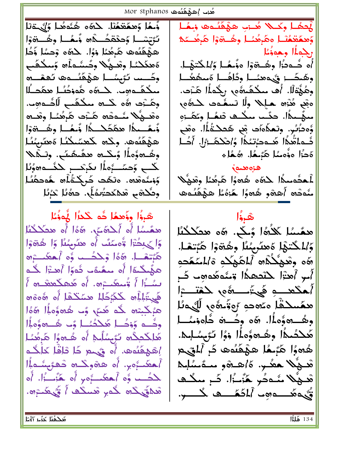.<br>هُذِبَ إِيهِيْهَيْهُمِي Mor stphanos  $\frac{1}{2}$ أحدد فيشل ا<br>لا  $\overline{\mathbf{v}}$ <u>ہ</u>  $\frac{1}{2}$ دهُا وكُلاً هُـنبِ هؤ  $\frac{1}{\epsilon}$   $\ddot{\bm{\ell}}$ ن<br>وَهِمَقِيمُنَــا وَهُرِدُــاً وِهُــةَوْا هَرِهُـــمَمُ .<br>م o<br>C  $\frac{2}{3}$ 6 رجماًا وجمودً ر  $\frac{1}{2}$ ^<br>ا .<br>ما دِّالمُّتْهَـل 6 -<sub>، ج</sub>ب جب<br>؎دُ¦ وهُــةوْا هوُّ .<br>●<br>● أَه حْـودُا وهُــةوۤا ەوۡـهُـا وۡاٰالحُـٰوۡـا. أ ((( : .B 9 ((( \$# >- ((( 8C+ ((( ? ś وهُبكُ -<br>Î ةÜ 6 —<br>?<br>♦ وهُؤْتَالًا. أَفْ مَكْفُبِةُو رِكْدَاً ا هَنْزَت e<br>C  $\tilde{\cdot}$ بَدْهَا الْمَكْنِ وَهْد י<br>1 ×<br>0 كَمَسْتَسْمَرَ وَحَسَبَتَ مَعْنَفَتَتَ<br>أَفْ سَكْفُبِةُهِ، رَبُّدَاً ا هَٰنْتَ.  $\left\langle \right\rangle$ ص<br>ج هُنْزه حايلا ولا تسعُّد له هُي  $\frac{1}{1}$ o<br>C  $\hat{\mathbf{c}}$  $\mathring{\mathbf{e}}$ م بَيْتِ الْمَرْتَ الْمَرْسَمِينَ مِنْ الْمَسْتَ وَحَقَّارَةٍ مِنْ الْمَرْسَةِ وَجَدَّةً بِ  $\frac{1}{2}$ ر<br>د حَفٌ مِنْکُ ہِ وَ  $\zeta$ و<br>وُەدْئ<sup>ى</sup>ر. وتىمگەأد بى ھَدىـتْد <u>ہ</u> o<br>C ر<br>ا  $\frac{1}{2}$ 6 ت ڤِي بر<br>16  $\tilde{1}$ 0 U) N( . J- ີ<br>ດ  $\mathring{\mathbf{e}}$ و ودحر. وتحددت بنا تحتكم:<br>دُّـداَتُدِدُا مَّـددَ:تَنْدُا وُاصْلاَعًــ;ُزل. اُدُّــا o<br>P **6** o<br>P م<br>موجد<br>مصر ا<br>أ  $\frac{1}{2}$  $\frac{8}{7}$ Î ەمما ھَبُعْل  $\frac{2}{3}$ ? +9 5 @ W . 9 ; M l  $\zeta$  $\ddot{\cdot}$ فصونه حدُّدماً للسَّاه هُسْوُا هُبِعُمَا وشَهْلا o<br>C ś ĵ  $\int$ مُـــمى ر  $\begin{array}{c} 1 \ 1 \ 1 \ 0 \end{array}$  $\sum_{i=1}^{k}$ مىسىسىم ئەسەب ئەرەبىرى مەرسىم.<br>مەمەم أىھەر مۇھۇل ھۇمگا ھۇ e<br>S ś ـَمُّا وَمَمَّعْمُنَا  $\overline{\phantom{a}}$ 6  $\overline{\ast}$ .<br>وَمَمَّا وَمحَمَّعَمْنَا. حَيَّه معُنُومُعَا وَإِنَّ وَنَا 6  $\overline{s}$ ـمُـــا وهُـــةوْا ・<br>タ<br>・  $\frac{3}{2}$  or ۔۔۔<br><u>مَکُ مُ</u> 6 ر<br>كَ<del>رُتشا و</del>َحدْ ،<br>ئەھە ھۇھىلا **د**ۇا o<br>O o<br>C ر ×<br>0  $\sum_{i=1}^{k}$ トット ھۇھَلُەھ ھُبِھُمُّا وَوُا. كَلاھُە وْصَمُا وُحًا <mark>ا</mark>  $\frac{2}{9}$ ------><br>لاتەَه وْحسُا وُ  $\mid$   $\leftarrow$ ر<br>م ە ۋىنگۇ  $\left\langle \right\rangle$ تعيينا في المستوفق المورد.<br>19 محككسًا وتحييكا وحُسسُـــه 7(((  ) J ((( <u>ہ</u><br>ر ×<br>0  $\sum_{i=1}^{k}$  ((( I [ J \(((  $\frac{1}{\sqrt{2}}$ @-  $\dot{\bullet}$ ×<br>0 وتستطيب تصحيح المستخدمة المستخدمة.<br>محكّشة موما، المستخدم المُوجُسُة المحكمة  $\zeta$  $\frac{1}{2}$ ر<br>ئەرەق ھ  $\dot{\bullet}$ .<br>।<br>●  $\hat{\mathbf{a}}$  E N((8 B 7(( < 9? M F ्  $\ddot{\cdot}$ وهَــْزَد ، هُ مَــْـده مىكْـفَب لَاَشْــەرەِت. <mark>.</mark>  $\frac{1}{2}$ @(( ?B Y(( ?  7(( 9 د هَٰٓٓٓہِمۡتَـٰا وَهُوَ o<br>C  $\tilde{\cdot}$  $\int \hat{f} \, d\sigma$  ه ـمُــا وهُـــةوْا + ! U((( D O ! 2((( ) -<br>∻  $\frac{1}{2}$ ؠؙڡڡ ر X  $\stackrel{\scriptscriptstyle{p}}{\cong}$  ( . B[ 9 ( 8I: < 7 < o<br>A Z ۔<br>مگىگ ∵<br>ہ  $\mathring{\bullet}$ లా وهُــهؤُماُ! وُـكــه هفَـمَّـمَــّ). وتــكَلمـــا  $\frac{1}{2}$ ر<br>2 سب<br>ولساءٌ .<br>ــــەھۇئا  $\frac{1}{2}$ .<br>كُــــج وَّحسَــــرَّه الله الحَبْســــر حكَّـــدَّ ۔<br>1  $\infty$ وَمْدُه هُده. وتَنَّفَّ ضَّحْدُثُمُ هُدَدَهُمَا | .<br>و ر<br>م ĵ ەتھَد خَرجَـةُ1ُ  $\frac{1}{2}$ 6  $\ddot{\phantom{0}}$ بر<br>1 ب<br>وحكْده ب هككحتُنهُلُم. حدُّنُا كَبُنًا e<br>2 o<br>N  $\zeta$ څې<mark>ؤا</mark> o<br>• مَّسْا ݣْلاُهْ! وُخْخ  $\frac{1}{\sqrt{2}}$ همَّسُا لَلاُهُ | وَحَكَّ. هُ محكَّكْتُا ر<br>ر  $\left\langle \right\rangle$ ( ) 3 6 4 5 - 6 7 - B[ 9  8 <" . - .<br>-<br>-وسيستجم المتعلم المعرب المستجمعة.<br>وأما يوهو المستخرج المستخدم المستخدم  $\overline{1}$ ر<br>د  $\tilde{\mathcal{L}}$  میں ک .<br>هـْتَزا كـْتَحـْعَـدُا قِـنَّـدَهَد ہ<br>^ ری ہے<br>آپ آ  $\tilde{\mathbf{r}}$  $\sum_{i=1}^{k}$  $\tilde{\mathbf{z}}$  $\frac{8}{3}$  e x ب الصحيح المستخدم المستخدمة المستخدمة.<br>أستخدام في أستخدم المستخدم المستخدم **6** يمك برهڤي ZC ? E G9? 7 حَصَّىكُمْ وَ10 هُوَ ۚ وَوَ .<br>.<br>. وهُـــهؤُهلُا. ۞ه ومُـــه هُاهومُـــا  $\frac{2}{3}$ ś ه<br>۵َ هُ وِحُــــةَ څُ  $\frac{1}{2}$ d#( \* I [ J 5 -+ ! "9? -7( - ! 2 / .  $\frac{1}{2}$  $\frac{1}{2}$ ، وو، صحيحته.<br>سُمْتَ دَمِ ٱلْمَوْتِ <u>و</u> بر<br>ہ  $\sum_{i=1}^{k}$ بر<br>بُ**ـمُ**ا ھۇ  $\mathring{\mathcal{L}}$  مُهورًا هَ s S( :; Y( ?  d#\* . I (B - 7( 9  $\zeta$  $\,\mathsf{l}^\mathsf{\scriptscriptstyle g}_\leftarrow\,$ o<br>S  $\frac{1}{2}$  ; S @(B ? Y( ?  3( . י<br>י ر<br>د کٔ مگف  $\left\langle \right\rangle$ حک علا حدب إلم<br>أحداث المسلم ี้<br>ก C ? . b -<br>دو - هُبِذًا وِذُهمًا حُه كَذَا يُهدِّمُا و  $\frac{1}{2}$ م<mark>مُا ثُم كَد</mark>ُا لُجُ شَرْدًا وِذَهَمًا ثُم كَكِنًا يُّودُّنَا حقشا أَه ٱلْحَمَّىِّ. هَٰهُا أَه محككنا الله  $\left\langle \right\rangle$ ه هنّى الله من الله عنه وا $\mid$ مصطلح المجاهد المستعدة<br>وَاحْدِثُوا وَّومَمَّتُ أَ  $\frac{1}{2}$ د.<br>بانشا .<br>أ n x<br>C مَّ تِمْسَا. وَهُمْ وَحِكْسَتْ وُهِ ٱلْعَمَّلِيْةِ وَالْمَسَوْدِيَّةِ وَالْمُسَوَّدِينَ وەللىك قارىلىشى ۋە  $\int$  $\frac{1}{2}$ ه شاعد السياسي .<br>۵۹ | ا .<br>ە مىمگەپ ۋ ۔..<br>۱ک اُ ۔۔۔۔<br>مؤسک  $\frac{1}{2}$  ىسى:<br>1 ) قىلى ئىستىسى: د براسمبر سنة السنة<br>مستخدم أ 。<br>?  $\mathring{\mathcal{C}}$  $\frac{1}{2}$  $\ddot{r}$  $\tilde{\mathbf{z}}$ كَيْتَبْلَمُ كَكَبْكُلْا مِسْكَفَا أُو هُوَوْهِ ?  I "# @ 3f 6 ا جمعہ<br>آباد ککہ  $\mu$ ـَـُمْ وَّــَ تُقُدَّوُهِ أَمْ أَوْمَ الْمَجْمَعُ ر<br>1  $\frac{2}{3}$  $\frac{1}{2}$ ه<br>مېکبت<sub>ا</sub> گه م ! "9f ? -7((( - ((( 8 / ((( @+ - (((  $\frac{1}{2}$ י<br>פ  $\frac{1}{2}$ ?<br>।<br>● ودُ<br>و .<br>في المحمد<br>في  $\frac{1}{2}$ ه غُـروءُ ا هُ  $\frac{1}{2}$ —<br>? بلا أ ہ<br>آ ڊسسر سنڌ<br>هُلگجڏه نَهُسُاً یُہ ر<br>د سبب على المسبب المسبب المسبب المسبب المسبب المسبب المسبب المسبب المسبب المسبب المسبب<br>إشهام أن يتم المسبب المسبب المسبب المسبب المسبب المسبب المسبب المسبب المسبب المسبب المسبب المسبب المسبب المسبب<br>المسبب المسبب المسبب المس 6<br>6<br>6  $\zeta$ \_\_<br>معكسوٌه پر )<br>P أَحقَدْ وَمِنْ أَوْ عَوْدِ كَلْمِ شَعْوَيْنَا وَلَمْ يَجْمَعُواْ | ۔<br>ا ی پیدا ہے<br>اُہ عثوبگو ڈ  $\zeta$ المستجدد العالمية المستجدة المستجدة.<br>المحكّسب وَّه الْمعكسـوَّهر أَه لِمُؤَسَّـرًا  $\frac{1}{2}$  $\frac{1}{2}$  $\sum_{i=1}^{n}$ لا تعطيب وهو أو حكومت والمساجد.<br>معظيب ومر أو حكومت المرأة ال .<br>?<br>? |<br>| م بتسطير 9  $\frac{1}{2}$ k.<br>S سىستىسى بول بى سىستان.<br>تىدەنتى كەن ئىسسىلگەن كۆپكىشتۇرە.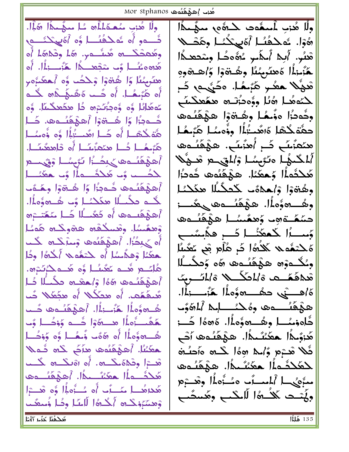.<br>هُذِبَ إِيهِيْهَيْهُمِي Mor stphanos  $\frac{1}{2}$ ا مَسْكَمْ الْمَسْكَمْ وَالْمَسْكَمْ وَالْمَسْكَمْ وَالْمَسْكَمْ وَالْمَسْكَمْ وَالْمَسْكَمْ وَالْمَسْكَمْ وَا مَعْدَد حَقَّ مِعْمَدًا  $\frac{1}{\hat{1}}$ ولًا هُنبِ لَم  $\frac{1}{2}$  $\frac{1}{2}$ أَوْلَ شَكْفُلًا أَهَيْكُمُا وَهَضْهَا  $\frac{1}{2}$ ິ<br>ໂ  $\hat{\mathbf{a}}$ لْمَكْمُواْهِ وَهَا -י<br>^ بِ حصصات<br>حُمحڪُسُل أ ر<br>م ئىر م<br>و ້<br>ດ هْلُو. أَبِهِ أَسْكُسٍ مُثَّوَّدُ ومُتَحْمَدُا ر<br>م  $\frac{1}{2}$ ू<br>हैंद्र के  $\tilde{\zeta}$ Á. ہ<br>{} بِهِ /ُ  $\frac{1}{\gamma}$  $\hat{\mathcal{C}}$ حَذَّبنا الكَحنَى مَا وحُدّة وْالْمَاعَدة وهِ e<br>1 م<br>جُمهُا  $\tilde{\mathbf{z}}$ 4 S( :; Y?  3( . e<br>N ر<br>ے .<br>د مورشه  $\breve{\mathbf{0}}$ كْتُوهُــا هُنُا وؤُودُتْـه مَعْمَدْـتَبْ o<br>C ،<br>ثبرہ م**تمُ**ملا .<br>ا هُنُا ووُّەتُرْ o<br>S ( <u>و</u>  $\tilde{\zeta}$  $\sum_{i=1}^{k}$ .\_\_ بير بير .\_\_<br>حكا وكُةوا على +9 5 > ∡<br>। وڅ بَمْك  $\tilde{\mathbf{z}}$ ەممُـا ھُ o<br>A マ<br>ぐ<br>\* بِيَّذَا وِذْ ۔<br>ا  $\frac{1}{2}$ .<br>ةىڭى*قا* ەَنغُ ू<br>? حثٌ  $\left($ بر<br>1 ملاً  $\frac{1}{2}$ ب کُب اُهدُ ہ<br>ر بر<br>ال س<br>ما هَكَعَبَّبَ كَــِ أُهدَّبَبَّ. هِهْفَنُــهِ فَالْمَسْمِ ر y<br>O  $\sum_{i=1}^{k}$ "<br>^  $\hat{\mathbf{\hat{\delta}}}$ ه تصبح كل المسابقة المستورجية المستورجية التواصلية<br>أَمْلَـتَـدُمِياً مَتَوَسِّـاً وَمُلَيَّــــم شَــوَلَــا <u>م</u> <u>و</u> .<br>هَكْثُم*اْ الجَ*حْمَدُ هُدْفُوُهُ شُمْدُ الْمَحْمَدُ  $\frac{1}{2}$ o<br>C ,<br>।<br>। رُه هُ<br>مُوهب هُ .<br>و  $\frac{2}{3}$  $\sum_{i=1}^{k}$  $\overline{\hat{\bm{\lambda}}}$  $\hat{\mathbf{\hat{\delta}}}$ ه ىـــــر, راجـــر.<br>جففةوا وْ/علادًا تحلّـمُلا محكلـا =<br>م ś (((( ! - "9? . -7 s  $\frac{2}{3}$ y<br>O  $\sum_{i=1}^{k}$  ((((8 :C (((( ہ<br>ر .<br>دَمَكَـةِ وَمِ وَمِعَـّمَـا هِ وَهِفَـُـهِ فَ 6 <u>و</u>  $\frac{1}{\alpha}$  $\sum_{i=1}^{k}$ )<br>กิ  $\hat{\mathbf{\hat{\delta}}}$ ه ! ((((B N((((8 - I\* U\$ 3(((( > (((( 8 6 ۰<br>لا .<br><u>كمك</u> عدا<br>منا  $\overset{*}{\leq}$  $\frac{1}{2}$  $\frac{1}{2}$  $\ddot{\mathbf{e}}\cdot\mathbf{\dot{e}}$ -<br>ר ﴿ مُآ e<br>C ة<br>كَمْشْهُمْ لا كَلاُوُّا دَ  $\frac{1}{2}$  $\mathcal{O}(\hat{\rho})$ ىتىسى» مەن بولسا بېرىسى<br>ياگىمۇھە ھۇيگلىمى ھە ۋىگىىلل  $\frac{1}{2}$ .<br>د  $\tilde{\xi}$  $\sum_{i=1}^{k}$  $\overline{\hat{\bm{\lambda}}}$  $\hat{\mathbf{\hat{\delta}}}$ ه m[((( J"  9 ,((( V"  9 n((( ) ر<br>شدهٔ الْمَنْ الْمُؤْمَنُ الْمُؤْسَسِينَ  $\tilde{\mathbf{y}}$  $\frac{2}{3}$ s أَنْ سَفَّ مِهْرَهِ أَوْ مِنَّا جَنَّ فَسَنَدَأَ الْمُسَنَّ مِنَّارًا. حيى المستوى المستقادة.<br>مُستوهد وهُكْشٍ إلك أَلمَاهُوَّب .<br>م <u>ہ</u><br>1  $\tilde{\mathbf{c}}$  $\sum_{i=1}^{k}$ –<br>N  $\hat{\mathbf{\hat{\delta}}}$ అ ە<br>ئادەمئىسا وىھىسى ۋەلاًا  $\frac{1}{2}$ دَّادفمُـــا وهُـــــهوُّداًا. كَاهدًا حَــــز .<br>كَصوُا حُـ <u>، ئەك</u> ''<br>タト <u>و</u> ,،,,,,,,,,<br>;وۡـٰ∖ًا ۔هنگ ี้<br>ค هُزوُماً هِمَّنْنُماً. عَهْفُنُمَكَ أَثَبَ  $\ddot{\phantom{0}}$ @  $\mathbf{r}$  $\widetilde{\mathfrak{l}}$  رگ ر<br>ر −<br>⊘  $\sum_{i=1}^{k}$ ์<br>ใ  $\hat{\mathbf{\hat{\delta}}}$ అ ے<br>حسانہ و<br>ل بر<br>16 .<br>جوړ *وُل*ك هوه لگ ه هُ .<br>قُلا ثَد ر<br>مُگهداً o<br>A  $\frac{2}{\bullet}$  $\check{\mathbf{x}}$ لطَكْشُه ُمُّ الْمحَكْثَــدُّا. هِهْكَنُــمِهِ. e<br>1  $\sim$  $\sum_{i=1}^{k}$  $\hat{\mathbf{r}}$ ۿڲٛ  $\varphi$  $\frac{1}{2}$ ے عنُــَّوَماُا وقد \*<br>ا حصد المستحصد<br>أحماراً المراوش  $\overline{C}$  $\frac{1}{2}$ مىگ ์<br>ก - N((8 بیجہ مستقبہ ہوتا ہے۔<br>شد کلاُمُ اللہ とのく  $\frac{1}{\gamma}$  $\acute{\textbf{b}}$ ? وَلَا هُذِبِ مُعَظَّلَهُ مَا مِهْمَدًا هَٰذَا  $\frac{1}{2}$  $\overline{\mathbf{r}}$  $\overline{\hat{\mathbf{I}}}$ اَ تَمْ الْمَسْهُدُ l  $\overline{\hat{\mathbf{I}}}$ ـاه ـُـا مـَـهْـَــدَا هَـاًا. | ا بِهِ شَمْرٌ وَهُ ب تككشك وُه أ ڊس سر<br>ڏسمو آ h((( रू<br>प ة<br><mark>ب</mark>ل  $\frac{1}{2}$  $\stackrel{*}{\bullet}$  0)  $\frac{1}{2}$ مدٌ  $\frac{1}{2}$ وهُـُمحَـُــُــُــُّ مَـُــُــُــُمِ. 46 وَحْكَمِكُمْ أَهْ ة الجمادة المجموع المجموع المجموع المجموع المجموع المجموع المجموع المجموع المجموع المجموع المجموع ال<br>مجموع المجموع المجموع المجموع المجموع المجموع المجموع المجموع المجموع المجموع المجموع المجموع المجموع المجموع ! "((( ; ! U(((: /f B  - ((( 97 ر<br>ا  $\frac{1}{2}$  $\frac{1}{2}$ هَده٥ مُنْـــا وُ؎ مْتّْعِــدْاًا هُزُــــزاًا. أه )<br>? |<br>| حَكَيْرَه ر ساددست وت عنبنست.<br>مِتَرِينُنَا وَا هُِتَوْءَا وْحَكُب وُه ٱ .<br>و م<br>أسماء أ  $\frac{1}{2}$  $\delta$  0 ب<br>(∘∕<br>( سىل بن سادو، بىست وي .<br>أە ھَبْعُا. أە كُــ ەَھْلُــدَاھ لَــْــا ・・・・  $\stackrel{*}{\bullet}$  ہ —<br>? |<br>| 8 ے<br>عَاهَدَانُا وُه وُهوءُنَـُـْتِه كَـا محَمَـدَـكَـنَا. وُه ا l ر<br>اگرام ر  $\mathbf{v}$  $\sum_{i=1}^{k}$ י<br>ג  $\hat{\mathbf{\hat{\delta}}}$ es مصر وه وهېرمنوره<br>حديدًا وَاللِّهُ حديث وَاللَّهُ ৈ<br>ব حْــودُا وَا ِهُـــةَوْا ٱههْهَنُــوهِ. كَــا  $\frac{1}{2}$  $\sum_{\alpha}^{\infty}$ (ممُـــا o<br>A ? + 9? - ! "f \_((8 ۔<br>ا ا<br>وح ہ خُــا امُّد ــــب, و,<br>ةكڤـا أُ ?<br>?  $\hat{\mathbf{o}}$ بیّا .<br>ہ څام<mark>دمً</mark> ? ((( بُسُّا ثُـا مئمٌّ:  $\tilde{\mathbf{z}}$ هُبُـمُــا دُــا محْمُنُــًا أَه دَاممُحَــًا. | أَكْبِرُ مِنْ الْمُسْلَمُ الْمُسْكَّرِ هُمَا  $\frac{1}{2}$ ر<br>د  $\tilde{\mathbf{c}}$  $\sum_{i=1}^{k}$  $\frac{1}{\lambda}$  $\hat{\delta}$ so ,<br>J  $\int$ ِ<br>لِأَهُــــــــد وَّت تَعَلَّكُــــما اللَّهِ عَلَّمَـــد الْمَجَّدُـــد الْمَجَّدُ r<br>I ,<br>2 ےدِدُا وَا ھُــقَوْا مِـمَـهَـا े<br>वै ئے ہے وُ ر  $\tilde{\mathbf{c}}$  $\sum_{i=1}^{k}$ ا<br>م  $\hat{\delta}$ so ์<br>}  $\int$ التجانب العامل المسابر المسابر.<br>كُــد حكْـــُلا متكــلــا وًب مُــدوَّدَاً.. p  $\frac{1}{2}$ م<br>2  $\bullet$ .<br>كەنسەھە <sup>1</sup>  $\overline{\mathbf{a}}$  $\hat{\delta}$ so ์<br>} أهوْهَنده أو دُهُندا أمَّا مُهَنْدُوه | .<br>ا هُـــلُا ًدُ r<br>P  $\mathbf{y}$  $\tilde{\mathbf{c}}$ وْهِعُسُا. وهْسَكْفُه هِجْوِكْلِهِ هَمْـًا ر  $\tilde{\mathbf{z}}$ <u>ة مشوك ح</u> وثنسكة  $\left\langle \right\rangle$ ومستقبل<br>أضح مأ '<br>?  $\frac{1}{2}$ أُه كِيدًا. أَهْهُوَهُمُو وَسَآكَهِ كَبِ ر  $\tilde{\mathbf{c}}$  $\sum_{i=1}^{k}$ ا<br>م  $\hat{\mathbf{\mathring{\delta}}}$ ه )<br>J  $\int$ na de la de la de la de la de la de la de la de la de la de la de la de la de la de la de la de la de la de la<br>En la década de la década de la década de la década de la década de la década de la década de la década de la " الصَّحَمَة السَّارة السَّحْمَد السَّعْدَة السَّنَّة وَ السَّارة وَ السَّارة السَّارة وَ السَّارة و  $\frac{1}{2}$ .<br>ملاء وًه هُـــمكِبُتَبَر  $\frac{2}{\sqrt{2}}$  $x^2$  and هُاسُــم هُــــم عَعَّمُـــا وُه هَـــمكِرْتَدِهِ. | (( > ]((8V 7(( :; - ! 9 M ((  $\frac{1}{\rho}$ .<br>د  $\mathbf{v}$  $\sum_{i=1}^{k}$ ー<br>へ  $\hat{\mathbf{\delta}}$ so )<br>J  $\int$ م<br>م o<br>° <u>مۇ</u> ・タタ هُدفَعٌم. أَه مَدِيكُمْ أَه مَدِّهُكُمْ كُتا هَلا دُ  $\mathbf{z}$  $\zeta$ ه مد ی 100, و.<br>اه محکّلا اُ  $\zeta$ هُـــووُماْ إِلَّمَ :ُـــزاً المَوْهَقَنَــوها هُــد  $\frac{1}{2}$  $\frac{1}{2}$  $\frac{2}{3}$  $\frac{1}{2}$ ئے میں گ ر<br>د  $\mathbf{v}$  $\sum_{i=1}^{k}$ -<br>ก  $\hat{\mathbf{\delta}}$ so ີ<br>}  $\int$ ە<br>\_\_ە ۆَوْشُــا وُب جَدَارِ مَدَوَّزَا خُصَّرَ .<br>ا —<br>∥<br>●  $rac{2}{2}$ ـهُــا وُه وَذكُــا| + 9 M 9 .<br>?<br>? هُــــــهوُّهلُّا أُ ا<br>ا  $\frac{2}{3}$ هَهَٰنُاْ. أَهِهْهَٰنُوهِ مِنۡكَى كُلُّهِ فُولًا ر <u>و</u> ?<br>।<br>। ⊹≻ ( ے<br>کے لاہ ڈُ  $\frac{1}{1}$ یُوها مِداُ ر  $\infty$  $\sum_{i=1}^{k}$ ์<br>กิ  $\hat{\mathbf{\hat{\delta}}^{\mathbf{\omega}}}$ ົ<br>ໂ  $\overline{\mathcal{E}}$  $\infty$ م<br>م أبو موجدة محمد  $\frac{1}{2}$ هُدْ أَوْفَجِهَ كُلْسُو، أَوْ آوْنَكْسُوا كُلْسًا ب<br>(∘<br>(  $\zeta$ مَحْدُكُما الْمَحْسُبُ الْمَالِ الْمِهْكُسُمُا الْمَسْمَدُ  $\frac{1}{2}$  $\frac{1}{2}$ ط<br>1 ر  $\sim$  $\sum_{i=1}^{k}$  $\overline{\mathbf{a}}$ ڝڲٛ -<br>J  $\int$ حرمُدا حَبُّ o<br>C  $\frac{1}{2}$ هُدرهُـــا مَـُـــاًب أَه ـُـــأه اُم وُه هَــــْ إا  $\frac{1}{2}$  $\stackrel{\begin{array}{c}\begin{array}{c}\begin{array}{c}\begin{array}{c}\end{array}{c} \end{array}}{\begin{array}{c}\end{array}}$ ।<br>१ ما أو ـُـــزُّولَما وُو قُطـــزا || 7( <+ 3 I Q( -  $\frac{1}{2}$ مَّا وَكَا وُسَعَّ  $\frac{1}{2}$ ے ۔<br><u>یا کہ</u> کا

.<br>بُل كزَ<mark>ير آ</mark>لاُنا  $\frac{1}{2}$ ا<br>الم ا<br>م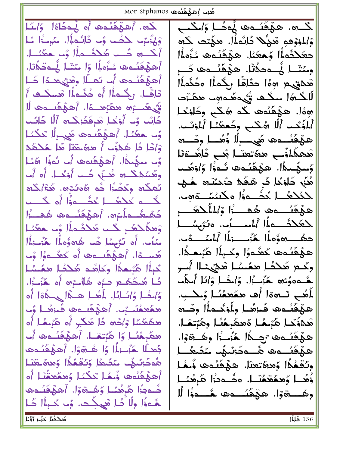Mor stphanos مُذبِ إِهِيْهَنُوهِ كَمِنْ هِهْفَنَـْمَدَ فُوصُـٰ وَالْكُب لَّكْتُهُ. أَهْلُهُكُمُ أَنْ يُوَجَّاهُ! وَأَسَلَّأَ وْالمْوْوْهِمْ شَهْلًا ثَالُهَ أَا. مَذَهَبَ كَلَم وْلِئُسُ حَدُّب وًا دَّاشُولًا. مَبْنُوا سُل أكْتُ هُتُ مُحْدُّدُ أَلَّا وُبِ هِمَدَا. حَفَكَتُمااً وَحَفَنًا. هِهْكَنُده خُزْهاًا أَهْهُفُدُه دُّوَءُ } وَا عَشَا فُءتَكُفًا. ومَتْسًا هُـــوَدَاتَا. هِهْفَسُــوه كَـــرِ أَهِهْفُدُهِ أَبْ تُعِبُلَا وَثَنِيُهِدَهُ! كُنَا هْدْيْ هِ رَوْءُ الْحَكَاقُا رِجَّدْ أَنْهُ مَحُدَّدَاً ا دْاقْل. رِجُمْلُا أُو حُثُمْلُا مْسكْبْ أَ لَّاحُدُهُ الْمَحْمَّدِيُّ صَحْمَدُ الْمَحْلَةَ قَّىهَمَـــــْمِ مِهْمَمِــــهَا. أَهِهْهَـــــهِ لَّا رەۋا. ھۇقئەھ كە شكىي وخُلونُدا كَانُب وُب أَوْجُا هُرِفَكُوْكُ. أَلَّا كَانُب ٱلمَذِّكَـــٰ ٱللَّا شُكْــٰبِ وِكَـعتَكَـٰلِ ٱلْمَوْتَــٰ. وًف بعظيًا. أَهْوُكُفْدُهُ مُحِيْدِلًا تَحْكُمُوا ههْكُسُــه هَيْــــرِلْا وُهُـــا وحْــــه وْاجْا دُا هُجْنُب أَ مِيهَ عَمْلَا هَا هَجْهَمْ مْعِمَٰلُمُنِّـــ مِمَّتِعِنْــا بِّنَــ دَامُّــۃِنَا وًت سَجِّيجًا. أَهِجْهَٰتِهِ مَهْ أَبْ ثَوْوًا هَيْنَا وَسِيَّسِمَّا. ھِيْھَنُّمِھ نُـموُّا وَاوْھَـب وهَيْبَدْ حَمْدَ اللَّهُ مَيْنَ أَوْجُدًا. أَهْ أَب هُنَّى حَاوْدُا مَ هَعَمْ حَرْحَسَّه هُي تَعَكُّدُ وِكَشُرُّا شُمْ رَهُوبُدْرُهِ. هَٰزْآءُلَكُلُو للنُلْطُ لم حُدُّدةُ وكُلِّسُتَّةِ وَبِّ لْكُنَّ مُحْجُدًا لَحَدٌ وَأَلْهُمْ كُنَّب هِهْكُسُـــوه هُـڡـــزُا وْالْمَلْكَفَــــر كَتْفُمْتُ وَأَمْرَهَ. أَهْلُوَفُسُوهَا هُوَ أَزَا للتَكَلّْسُـــه أَا أَلْمَـــــأَب. وتَرَّبِينُــــا وْهِكُلْهُمْ لَّكُبْ هُلْكُمَاْ أَوْبَ هِهَٰنَا دهُـــــــــهوْه أَلْمُ هُزُـــــــزِيلُّلُ أَبَاحَــُـــــوَّب. مَدَّبٌ. أَو تَجْبِسُل ثَب هُ‰وُوماُ! هَزُنْ:اُ هِهْفَنُـهِ كَعُـُـهوُا وِكَــرِلَمَا هَرُــمـكَا. هُستةًا. أَهِيْهُتِ وَهَا أَوْ كَعْثُ وَءًا وُب وكبع هُكْشًا هِمُسْا هُدْيُهَاا أُسِرِ جُراً الصَّمْعِدَّا وجَاهُدِ هُكِدًا مِعْسَا هُـدووُتِهِ هُنُوــزُا. وَامكُــل وَامُلْ أَبِكُب ئا مُحكَمَد دَرْه هُلَّاتِه أَه هَزْتًا. وَّامِضًا وُٱسُالُا. لَمُعْبا هِـدَا لِمِدْهَا أَه لَمُعَـــ تَـــ30 أَفْ مِعْمَعِمُنَــا وُحكـــد. همْكَسُمِ هُنْهُما ولَمْوَيْحِمِلْا وَصْبَهِ مَعْمَعُمُنَّتِ، أَهِجْفُتُ هَ فَيَهُنَا وَب مَنْعَمَّنَدَا وْادْهَ دَا مَكْبَرَ أَهْ هَبْـمَا أَهْ مْدَوَّدَا هَٰزُهُا هُمْدَهُا وَهُتَمَّا. ههُبِمُنُـا وَا هُبْتُمْـا. أَهْهُفَنُـهِ أَب هِهْفَسُـوهِ رَجِــدًا هَّزُـــزًا وهُـــوّةوا. جَعنْلا هَزْجِرَاْ وَا هُــقوْا. أَهِيْهَتْده همْكُسُـــه هُـــــمكَّنْهُـــهُ مُكُــعُــــل هُوَجَرْسُهُمَا مُتَصَعُلُ وَتَقْهُدُا وَمِدْهَمْتَقَالَ وِتَفَعُدًا وَهِدَةَ تَعْتَلَ. هِجْهَنُـهِ وَنُـهُـل أَهِكُومُهُ وُسُمَا تَذَكَّا وَهُمُعَمَّنَا أَه ذُهُــا وَهِمَعْهُنْــا. ودُــودُا هَرمُدُــا ضُمِعُوا هَرِهُنَا وَهُــوَوَا. أَهِهُكُــوها وهُـــةوْا. هِمْكُنُـــهِ هُـــوُّا لُا هُدوُّا ولًا كُل مْحِيكُت. وُب كَبِراً احَل مَحْدُمُا حَرَّ أَأَنَّا  $\frac{1}{2}$  136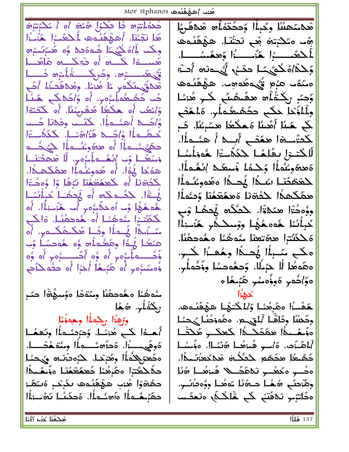Mor stphanos مُن إهلُهَكُوها كَحْمَلَتِهِ مَا حَكْرًا هُمُهُ أَهْ أَكْثَرَتُهُ هَدَمَعَمْنُا وِكَرِلَمَا وَحِحُدُهُا وَ هَدَفَرِبَا هَا تقِبْلَا. أَهِهْفَنِّمَهِ لَمَحْمَدُا هُزُنُوا بَهْد مَكْتِتِهْ بْمِي نْتِنُدَا. هِهْفَنُـمِه وِكُما ءُٱهُكُهُكَمَّا شُوَوَهُ وَوَ هُمَّتِسْتِرُو لَمَكْتُمُسْسِيرًا هَزْنَسْسَةً وَهُمُسُسْسَلَ. فُسِدًا كَسْدَهُ أَوْ شَرْكَسِدِهِ قَامَصًا وَحِدْثَاهُ حُدَىٰ حَمَـٰىٰ ﴾ [المحروم 26] أصـرًا قَيْهِكَمْــــــــــــــــــوَمِيكِــــــــــــــــهُ أَحْرَبِهِ كَـــــــا همَنْقُ هَزُمْ وَيُّكْ هُمُوهِ =. هَهْهُمُوه ثَعْدَقَ سَكُمْرٍ مَا هُزَيْا. وتَعْدَفَعَدَا أَكَ ضًا كَتّْفِعْدُمُ مُؤَمِّنٍ أَنْ وُاكْتَابِكُمْ لَهُمْنَا وۡحَبۡ رِكۡـٰٓءُٱہ مَـفَـمُّـفَّـ كُــرٖ مُّنۡـُـا وَاعْعُد أَهِ مِكْعُداً هُـفَـمِنُنَا. أَه لَكْتَمَّةَا ولْمَأْوَّدَا حَكَّم حَحَّصُبْهُ مَأْبٍ. كَاحَقَّ وُاكْسِدْ أُهِنُسُوذًا. كُنْسَبْ وِثْلَاثَا حُسْب لَّكُمْ لَهُمْلُمْ أَهُمْلُمْ مَا الْمَسْرَعُلُ مِنْ الْمَسْرَعِينَ مَنْ الْمَسْرَةِ مِنْ الْمَسْرَة كَتْشْتْهَلَا وُاجْبِهْ فَأَاهُبْهِا. كَكَذَبَ وَا كَحَبَّدةَا هِمَّتْبِ أَبِيهِ أُهْدَماً!. حَكِّهُـُــهِ أَلَّا أَه مَدْهُومُنُــهِ أَلْمَــهُ مِنْ حَكْمَــهِ لَّالِكْتَـٰدَوْلِ بِـقَالِهُـٰ لِمَحْكُمُـِـتْرَا ـِهُودِلُمُـٰـا فِيَنْقَصَا وَجَد إِنْكُسُمَةً مِنْ وَمِنْ الْأَرْقَدِهِ كُنْتَسَار هُعِدَهُ وِمُثَمَّلًا وَحِكْمًا وَسِعَكُمْ إِنْهُدَلًا. هِمُكُل لَمِمًا. أَو هُدوسُدْواْ مِعَكْمِدًا. لِحَقَقَقَا اعْكُلْ كُحِكْلِ مَعْدُوعُتُمَلَا لْكَدُوْنَا أَو لَكَعِمَعَهُمْا تَرْفَا وَا وُوحُــٰٓرَا يُحَدَّا. حَدَّــمحْم أَه يُحمُّــا خَبِلَنُـٰـِا ههَكْهِدًا ۖ حَدُّةِتَا وَهِمَعْهَا وَحِثَمَاً ا ـِّقُدِهُوُا وُت أَدْخَلَائِهِم أَتْ ـِهَزَّنَۃِلًا. أَد ووَّدتْزَا همُدْوَّا. للطُّلُه لْمَعْمَا وْبِ كَكَتَنْتِرَا مُدْهِئَا أَهْ هُوجِعُنُا وَالْحَبِ كْبِلُنُا هُ٥مُهُا ووْمىككُم هُنْناًا مَنْ ذَلاً لَمِحْمَلَ وَحُمَّا هَكُنْهُكُنْ وَبِنَ أَنْ هَكْتُتَرَا هَوَّتَعَثَّا مُدَهُّدًا مَعْدَدَهُنَّا. هنْعُلْمْ إِيَّـٰهُۥ وِهِّعُـٰمَاءَ وَّه ـِهُمَصْبَاً وَّب هكَمْ مُسْبِئًا هُصِيًْا وِهُصَيًّا لَحْسِنَ وَّكُـــــــمَلِّــرُومٍ أَو وَمِ أَكْسَــــرُومٍ أَو وُو ەھَەھُا لًا حَبَّىلًا. وَحصَّدَسُل وِذُهُمَلُر. ؤُهِنَنَّوْمٍ أَوْ هَٰٓبُنَغَا أَبْدَٰا أَوْ حَثَّهُكُلُّصَ ەۋاھەر ەوۋەمىر ھەمگاھ مَّدَهُمُا مَعْدَدُمُا مِنْدَدًا مَوْسِجُةًا حَبِّ تحذا وبكَثْلُو. 50هُمْ هَقَــزُا هِمَٰرِمُنَـا وَالْمَكْتَهَـا هِهْفَنُـهِ . وَوْجِزًا رِجْهِلًا وِجْهِدُمَا وكَحسُّا ودَّاقْط ٱلمَّى مِنَّ مَعْمَوْحُسُّا يَحِسُّا ۖ وَمُعَــٰماً مِمَكَــٰـدًا لَحْمَـْــبِ مَكَــَـٰـًا أُهـدُا كُــح هُـْنُــا. وَحَبِّحَشُـدلَٰا وتَـٰهـُــا أَلْمَٰـَوْتِ. وَأَسِـدٍ هُـزهُــلِ هَنَّـُـلِلْ. وَفُــسُــلِ حُشَمُا محَمْم حدَكُــه مَحكمُرُسُــدًا. وكُعرِّبِكُمْلًا وهُرْبَعٍلْ. كِرُودُرْتُو وَحَكِمَا حكَمحكَتِها مصَرِهُمْا حَصكَصَهُنَا مؤَحَصَدًا ەكسو ەڭتھُسو تەھكىلا قىزھُىل ھُئا حَقَّةَوْا هُزْبِ هَهْكُنُوهَ بِكَرِيْكِ وَيَتَّصَّرْ وهُوَصَّى هُـمُـا حــهُلَا عَهمُـا ووُهجُنُــو. حَمَّىهُــمالُ أَرْهَــْمالُ. هَحكَـنُــل نَهُـــزلُمْ ا ەدَّاتِئىر ئىلاقتى كى خْلگىگى ەنىھكىت مَحْدُمُا حَرَّىرِ ٱلْأَمَّا  $\frac{1}{2}$  137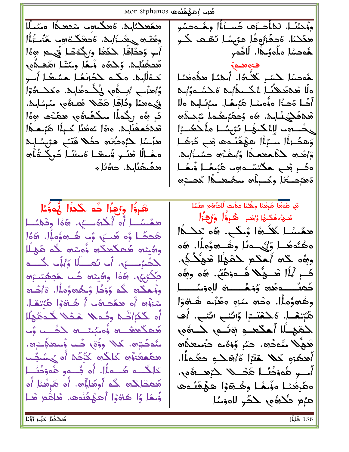Mor stphanos مُن إهلُهَكُوها معَمَدْمَالِهِ. ةَمَدْمُوب مَصْدَمَّا مَمَىلًا ووْحنُنُـا. تَمْلُحـزُها خُسـزُلُمْا وِهُــوصُبُو وَهْدُهِ بِمَعْدُ مِهْدَدٌ مَا أَسْتَمِرِ مِنْهُمْ وَمِنْ مِنْ مِنْ مِنْ مَنْ مِنْ مَنْ مَنْ مَنْ مَ مَكَنْدُا. هَحَفَرْوَهُا هرَّمِسًا نَشْعَا كُــر أُسِ وَحدًاقًا كَحَمَٰا وَرُجَّةَهُا وَيَصْحَرُ وَهُا ـغُەھسُا ەلُەوُــد*اًا.* لَ*ا*َھُەر هُدهُنُإِلِمْ. وَلِكْهُه وُلْمُ وَمِنْتُمْ اهُدِيُّهِ وَ فنحمضه هُوصِمًا لِحَمَدٍ لِلأَوَّا. أَحْمَدًا هَذُوهُنَا كَدُلْلِكَ. مكّد حْدَّرْتُهُـا هِسَّىعُـا أُسِر وُاهنَّب اسِـلَه و مُكْــوهُالِـه. وكَـكــرهُوٓا ەلْل شىرە ئىسلائىل لىگىمىدۇرىكى ئىسسە ئەربى أَكْلَ هَدْءًا هؤُهسُلَ هَبُسَهْلَ. سَبُنُلِكَ هلَّا فَيْ\$هدْا وِدَاقْا هَدْلا هْدەُ؟ مُرْئابى كَرِ بِهُم رِكْماً مَكْفُسُومٍ هِكْنُو وَهُ ا هْدْهَكْيْ بُابْدْ. 6ە وَحَصَّ عُدَّا تَبْحَدُه هْدْكُمْفُلْإِيدْ. وَوَٰٓا عَاهُنَا جُبِياْ! هَٰٓبُمْدَا! انحسفكله لحشوني للهكلملا مصلحر أَوُهكُــٰٓ; أَا مِنْهَـٰهُـُـٰهِ مِنْهُـٰهُـٰهُ مِنْهُـا هلَسُل حَزَودُتُه حفَلًا قَتَبُ فَرَسِنُلِهِ ەھْـالْا ھْنُــو قُىمھْـا ەَمىنْـا كَرېڭـةْلُ10 وْأْهْدِهِ لِلْمُعْجَمِيمُ أَوْأَسْفُرْهِ حِسْرُأْبِيهِ. ەكىر قىس ھڭتئىدەپ ھۇگىل قُىھْل هڤَىعُ*نْلْ*ىد. حەمُلْن كَحَرَّدَ أَبَّلَ وَكَرْ إِلَّهُ مِيضُحِكُمَّا لَكَدَرَهِ .<br>هي هَممُا هَرمُنا وحُكنا مؤت لَادُوُم مشيا هْرِذًا وَرَجِزًا هُم كَحْدًا يُحوُّمُا مًىهُوَمُكُمُا وُاهُم هُووُّا ۖ وَوُصُوَّا ۖ } همُسُـــا أَه أَكْتَهَـــــــــنِ. 56أ وتَّدَــُـــا ھمَسُلِ كَلَّاؤُا وُلِّكَ ٰ ۞ه تَعْلَـٰدُا هُحصًا وَّه هُئِيٌّ وَّ هُــهوَّهاً. هَٰهُ! ەھْنُەھُلا ۆُنُ ھال وھُلەۋەلَمَا. ۞ە وتؤيته هُجكعكم وهشه كُم هُمِلًا وِبَهُء كَنْ أَحْكَمْ حَمْدُلًا مْدِئْكُمْ. لِحَصُّبُرِّــــــــَىّ. أَبْ تَعَــــلَّا وَالْمَءُ لَكُــــم كُسِرِ أَلَمَ الْقَسِيقُ الْأَسْمَوْهُكُمْ. 69 وَ99هَ دَكْمَ بَيْنَ وَأَوْسَى مَدْ هُدِهُنَّ وَوَسَيْدَ ووْهكُلُّ كُمْ وَوْحُلُّ وُحِثُلُهُ وَوُمِلًا. وْأَصْلَا وِهُدوُوْماْل وَدْدَ مُنْوِ وَهُنُّتُ هُـْ وَوْا سْتَوْرُهِ أَو مَعْصَدَهُ لَمْ شُدْوَا هَرَّتْهَا. أَه كَدَّائُكُمْ وضُمِيْلا هْفَيْلا كُـومَٰذْلِلْمَا هَّئِتْمْـا. ەَݣْمْتْــْزا وَائْتــى ائتــى. أَف هُمَكَمِنْدَ ۞ وُمَبُسْدِ لِدَٰكِ وُبِ لحقها أمكعب ششم لمسؤوب مَنْحَشِرْهِ. كَمَلا وَوَّةٍ كَبِ وْمَعْكَلِتِرْهِ. هُدَيْكَا مُنْعَاهُمْ. حَيْرٍ وُوْقَاعَة حَزْمَعْدَارُهِ معكَمعَنْزْوه كَالْكُلُّهِ كَتَرْكُمْ أَوْ كَلّْسُجّْب أُهدَهُ: وَ كَلا هَتْهِ أَأَنْهُ لَكُمْ حَهَدَاً. حُلِكُــه مَـــولًا. أَو فُـــوو هُودُنُـــل أُسِبِ هُودُتُسًا هُتَسِيلًا ۖ كَيْهَدُوهُ مِ. مُعجَلِكُم ﴾ أُوهُلاً و. أُو هُرَا مُوهُدًا أُو ەھُرِهُمُا ەۆْھُا وھُـةْوْا ھۇھَمُـەھ وُّڪْلُوَّا هُوَّوَا أُهِكْمُهُمْ. مْلِقُو هُـلُّ هزم تكثفي لكصّ للوزسُا مَحْدُمُا حَرَّىرِ ٱلْأَمَّا  $\frac{1}{2}$  فَلِأ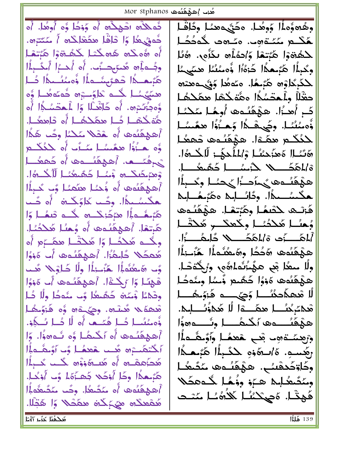Mor stphanos مُذبِ إِهِيْهَنُوهِ ثُمللُه اتَّحِيلُه أَه وَوْحًا وُه أُوهُا. أَه وهُدوَّهاْل وُوهُـا. ۖ وَحُثَّىٰ وَمَنْظَ وَقَاقَـا خُورُ هَذَا وَ الْحَافْ الْمَحْمَلِكُمْ لَا مَعْتَرُهِ. هَكُــم مَّمَّـة هـ. مَــْهِت كُـهِجُــل أَه شَمْلَاه هُمكْسًا لَحْشُوْا هُتَهُا لْحَمَّةُوْا هَٰٓبَتْعَا وۡاٰحَفَلَه نَكَأُونٖ. هُنُا وِجُــولَم و هُـمَرِجِــَتَو. أَو أَحــرًا أَمَنُــرِمُّا وكَبِلًا هَبُعِهَا جَوْءًا وُوسُنُنَا هِمَيْنَا هُبُعِيدًا دْعَبُيْسُواْ وْْمِنْسُمَاْ دُيا لْكُرْكَاوُهِ هُرُمُهُا. مَدْهُا وَفُيْ هِمْتُهُ مِنْتَهُمُا كُنْ تَلْوُتُ وَ هُمَوَهُا وُهِ حَقْلاً وأحتَسُمُّا مِمَّة حُمَّا مِمَّحْمًا وُودِرُبُوْرُه. أَو خَارْشْنَا وَا لَمْحَسُنُوا أَو كَبِ أُهْدُٰا. هِهْكُسُوهِ أُوهُا مَكْسًا هُتمكْهَــا حُــا محمَّــكهُــا أُه مْامحمُــا. ذُهِ مُمُبُمُل. وَكَيْݣُوا وَجِعَيْرُوا هِجُمْسَا أهمِفَنُوها أو هَنْلا مَكْمًا وضًا هَٰذًا لمُنُكَّمِ مِكَـةَا. هِهْقَنُـهِ دَهِمُـا وُّه هَـزُوُّا همَّسُـا سَـرٌب أَه كَكُـُــم رَهَتَىْلا هَجْزَجْتُنَا وْالْمُحَكِّرْ لّْالْحَـجْا. يْ وَمُسْبِقَى أَهْلِيَفْسُوهَا أَوْ خُعْفُسَا وْهِرْمَظْهُ وْمُا حُهُهْدُا لّْكُرْهُا. الْمِحْمَدُ الْمُحَمَّرُ الْمَحْمَرُ هُمَنَّفَهُ أَهِجْعَنُوهِ أَو ذُخِيَا مِنَعِيَا وَبِ جُبِدًا هكْسُـــــداًا. ودُائــــابـــا ەھَبُــھُــــابـــا لْمَكْسُلْمَالْ. وَشَبْ كَاوُكْتُ أَنْ شَبْ فَرْتَــِهِ كَتَنِـمًا وَمُرَّتَـمًا. هِهُفَنُــهِ وَ كَيْشُدْفُ الْمَرْجُزِيْتِ مِنْ كُنْدَ قْبُغْسَارْ وَا وُهسُا مَحْدُسُا وكَعكسو مَحْتَسَا هَ تِمْلِ أَهْلِهُنُوهِ أَو وُهِنُل هَٰذِكُنَلٍ أَلمَكْتُ وْالمَكْكُسِيلا هُلْمُكْرًا. وِكُــهِ مَكْــُــا وَا مَكْــَّــا مِكَــرَمِ أَه هِهْفَنُوهِ \$حُجُّا وِ\$ىعُنُّواْ هُزَّىزاْ مُعجَلًا حُلِجُرًا. أَهْلِجَنُوها أَبِ وَوَوُا وِلَا معدًا بْعِي عَهْنُزْشَمْارْهُمِ ۚ وِرُجَّتَهَ صَلَّى وًت وَمُتَعَفِّذُا هَزَىٰ: أَلا ذَاوَيْهِ وَصَبَّحَتَّ هِهْفَنُوهِ وَوَوْا حُهُبِعِ وُسُلِّ وِيثُوجُلُ فَهِنَا وَا رَبِّكُتْهَا. أَهْمِفَنُوهَ أَبَّ هَٰذُوْا وِضْمْنَا وْمَدُوْ خَصُّمْدَا وُبِ مُنُوجًا وِلًا جُبا لًا مْعِكُمْحِنُنْـــا وَجَيْــــم فَرْوَحِمُــــا هَدِمَ حُسُّـــا محصَّـــةا لُّا مَدْدُنُــــابِـد. هُدهِمًا لَا مُعْلَمٍ. وَحَيْثُوهِ وَهُ فَزَوَّتَهُا . ذُهنئُنَــا حُــا هُـَــم أَه لَٰا حُــا نُــكَفِ. هِهْفَنُـــهِ مَكْتَفُـــا ونُــــهِ وَذَا أَهْلِهُنُـهِ لَهُ ٱلْكُنفُـلِ وَّه شُـهِ وَٰٓا. وَا وْرْهِنْتْ وَبِ هُمْهَا وَأَوُحْشَا لَهِ ٱلْكَتْݣُبُوهُ هُــَـَ هُعْهُـَا وُبَ ٱوُبِّكُـٰهَاْ رَهُسو. هُ/سهُوْهِ حَكَيْلًا هُبُعْدًا هُدَٰوَهِـُـ ۞ أَو هُنـــوَّوْوَ كُــبِ كَــبِدَٰا وِدَارْدَدْشَنَــ هِهْفَسُــه مَدَّـمُــا هَٰزُهِهَا وَجَا أَوْجُدٍ دَهِـزَٰهَا وَٓبِ أَوْجُلٍ. ومَثَمَعُلِهِ هَزَةٍ وذُهُا كُـ20كَلا أَهِجِعَنُوها أَو مَنْصُطًا. وصَّا مَنْصُعُولًا فَهِتْهِ. هَيْكِنُنَا كَلَاهُنَا مَنْصَ هُهْمَكُمْ مِهْكِكُمْ مَعَضَلًا وَا هَتِلًا. مَحْفُلُ حَرَّىرِ ٱلْأَمَّا  $\frac{1}{\prod_{i=1}^{k} 139}$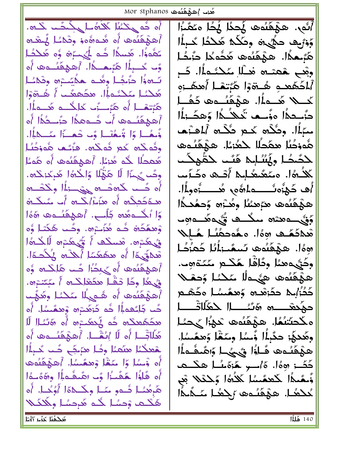.<br>هُذِبَ إِيهِيْهَيْهُمِي Mor stphanos  $\frac{1}{2}$ ا مَسْكَمْ الْمَسْكَمْ الْمَسْكَمْ وَالْمَسْكَمْ وَالْمَسْكَمْ وَالْمَسْكَمْ وَالْمَسْكَمْ وَالْمَسْكَمْ وَالْ<br>المسابق المسابق المسابق المسابق المسابق المسابق المسابق المسابق المسابق المسابق المسابق المسابق المسابق المساب í G ।<br>√<br>— ⊱<br>ك  $\overline{\hat{\bm{j}}}$ أَبْدُ، هِهْفُدُه لَمَحْلَ لَمَا هَكْبُوا )  $\frac{1}{2}$ حَدًّا هُٰذًا مَکَّ  $\frac{1}{2}$  $\overline{\acute{\xi}}$   $\circledast$  $\overline{\mathbf{v}}$  $\sum_{i=1}^{k}$  $\frac{1}{2}$  $\hat{\mathbf{\hat{\delta}}}$ అ ,ت). تتجتنب حكيدة المستمرة المستمر.<br>وَوْزَيف حكي\ة وتكلم تُعلاقُا كُــرِاُ ا  $\frac{1}{2}$ l てく بَعمُا ۔<br>م ر<br>م هُبُــعـٰهُا. حَـهْكُدُمَّ هُـحُـه مُـلِّ حَبُّحُـل  $\frac{1}{2}$ همُا ٖمُّ ∕∘<br>। څ ี้<br>ถ یُہی مُد ر<br>ر  $\tilde{\zeta}$  $\sum_{i=1}^{k}$ ר<br>^  $\hat{\mathbf{\hat{\delta}}}$ అ بعضمان مصطفحة مستمر.<br>بعض همشده فشال مكثشماً ا e<br>1  $\ddot{\phantom{0}}$ وهْبِ هُعْسُدُ مَثْلًا مُكْتُولًا. كُبْر  $\tilde{\mathbf{C}}$  $\tilde{\mathbf{c}}$ وبجا عصحـو هـِ ةوا هَبَتمْا أَههَاهِ<br>اْلمَكْفَعـوِ هُـِ ةَوْا هَبَتمْا أَههَاهِ ś 6  $\tilde{\mathbf{z}}$  $\breve{\mathbf{\alpha}}$ كَـــلا هَــَــه أَا. هُهْفَنُــه هَ دَهُـــاً  $\frac{1}{2}$ ر<br>م ر<br>د ئے میں کُ ر<br>ل خ<br>م<br>⊘ ے<br>م -<br>ג^  $\hat{\mathbf{\hat{\delta}}}$ ه ! "(( D - ! U(( x ((  $\frac{1}{2}$  $\frac{1}{2}$ .<br>.<br>. +9 ! (( @ ! " . 3B  (\$" 7(V e( ? 7 V- ? -<br>ا :< ]D O @+  $\frac{1}{2}$  $\frac{2}{\sqrt{2}}$  $\frac{1}{2}$ ?<br>? هُودُمُّا محَمَّطًا حَمُّ; السَّوْهَمُوهَ <u>و</u> َ<br>ہ  $\sum_{i=1}^{k}$ ′<br>∧  $\hat{\mathbf{\mathring{S}}^{\mathbf{\omega}}}$ Q( a O< Q(  $\frac{1}{2}$ 6  $\tilde{\mathbf{z}}$ سُلٰٖہ وَ <u>و</u> ہ<br>لا ــر<br>حکا ونّ ,<br>4 ے۔ً ...<br>ݣْكُرُهُ أ. مَمْعُمْعُلْهِمْ أَتْسِعْهِ مَضَرَّمِب  $\frac{2}{\sqrt{2}}$ بد<br>م  $\mathbf{r}$  $\sum_{i=1}^{k}$ ∪<br>^  $\stackrel{>}{\circ}$   $\circ$   $\stackrel{<}{\circ}$ ر<br>د  $\hat{\mathbf{c}}$  $\overline{\widetilde{\mathbf{z}}}$ حعُـابِـهِ /َ  $\frac{2}{3}$ ،ب<br>مَمَكُ ه مُسْسَدُّهِ وَهُمْ الْمُسْتُومِٱلْ  $\frac{2}{1}$ o<br>C ∡<br>\*  $\mathring{\mathbf{t}}$  $\frac{1}{\sqrt{2}}$ أَْفَ كُوْنُونُــــــوا، وَمَ هُـــــــزُومِاً!. ۔<br>و ,<br>K o وَح**مُن**كُ  $\tilde{\cdot}$ ں.<br>سُاھ مکرِمنمُل وهُــٰٓ; 、。 <u>و</u> ر<br>ل  $\tilde{\zeta}$  $\sum_{i=1}^{k}$ ์<br>ผิ هِهْكُنُوهِ مَبْعِنُنُا وِمُنْزُو وَحِمُدِيَا ا  $-90$ ั้<br>ภ .<br>بُوْيٌ ـــه مشتره مسكــــف تُوْيَه 厂<br>2.  $\left\langle \right\rangle$ هُـد وهُ! e<br>S بى<br>ھَكْمُگْھُ رەەُل مْقْدَحْشُلْ هُـلِكَلا 、<br>c  $\frac{2}{3}$  $\stackrel{\circ}{\bullet}$ 0 رەۋا. ھۇڭلەھ *ئىسگى*زل*انا* كُھزُكُىل e<br>S  $\frac{1}{2}$  $\frac{\nu}{\rho}$  $\frac{1}{\sqrt{2}}$ ر<br>مُوفِ سُ**سمُن**ۂلُنَّا خُ ں<br>1 ر<br>د ر<br>ه  $\sum_{i=1}^{k}$ —<br>ใ  $\hat{\mathbf{\hat{\delta}}}$ ه ے<br>مستق<sup>ر</sup>وما ֧֖֧֝֟֟֓<u>֓</u> ى<br>كَزْدُهِ مَثْلاً وكَاظْلِ هَذْ .<br>. وكَيْ\$مثال وكُلْقَا هَكْد مَّمَّدُوب. أَهشَاءُ الْمَحْمَدُ الْمَحْمَدُ الْمَحْمَدُ  $\tilde{\mathbf{f}}$ ر<br>ل  $\frac{1}{\alpha}$  $\sum_{i=1}^{k}$ ऽ<br>^  $\hat{\mathbf{\hat{\delta}}}$ అ .<br>\_c وَهمْسُا هكْشْم ง<br>ก  $\hat{\mathbf{S}}$ ر<br>د دُٰ;ُ/بِـم حدَ こり  $\frac{1}{2}$  $\frac{1}{\sqrt{2}}$  $\stackrel{\sim}{\bullet}$ ثكا .<br>.<br>. ,<br>K  $\mathfrak{u}$ : " الضَّ  $\frac{1}{2}$  $\lq\lq\lq\lq\lq\lq\lq$ ర్  $\hat{\mathbf{x}}$  $\hat{\mathbf{z}}$ سم<br>م حهٌد :نى*نْجا*  $\frac{2}{3}$ و<br>ل 6 ر<br>پي حدٌ . <9  (8D C 5  o<br>C ر<br>ر y<br>O  $\sum_{i=1}^{k}$  $\ddot{\cdot}$  R - )B- I .<br>.<br>. ى<br>حكْبِلًا وُّسْمًا وِسَطَّا وَمحصَّسُاٍ. ر<br>1 بِقَـهِ أَمْ ハッー مسجد المستقارة التي ينها المجازة.<br>من المستقارة التي ينها المجازة. フヮー ,<br>ر ر<br>م  $\sum_{i=1}^{k}$  $\lambda$  $\hat{\mathbf{\hat{\delta}}}$ ه  $\log :=$ e<br>S ر<br>ے  $\tilde{\mathbf{A}}$  $\frac{1}{\sqrt{2}}$ كَكَّة @هُا. هُاسو هُوْهُنْسا هكْتم سى كۆكلەر<br>16سىر كۆۋىنىلا ھگ  $\ddot{\phantom{0}}$  $\hat{\mathbf{c}}$  ,\*  R< - ! 7 ` I8 ): < ! 2 )  $\frac{1}{2}$ ー<br>ゲ<br>\*  $\frac{1}{2}$ كُلامُا. هِهْقَنُـهِ وَلِلْمُا مَـٰذُلاً  $\sum_{\lambda}$  U((B (( :< = (( و  $\tilde{\zeta}$  $\sum_{i=1}^{k}$  $\overline{\hat{\bm{\lambda}}}$  $\hat{\mathbf{\hat{\delta}}}$ అ .<br>فهك بحمْكُم للحَمْدَ الْمَكْمِ هُدَّةٍ  $\overline{\mathcal{L}}$ 罗 - و<br>م  $\stackrel{\circ}{\bullet}$  ہ ? اْهِ حْمِيْكُمْ لَلْأَمَٰىٰ لِلْمُكْتَبِي مِنْهُمْ وَأَمْرَضْ مِنْ الْمُحْمَدِينَ مِنْ  $\gamma$  $\sum_{i=1}^{k}$ –<br>ג<br>ג  $\hat{\delta}$ so ,<br>J أَهْهُكُمُهَا أَه شُـُدهُوه وتُكْمُـٰلُّ لِمُنْقَـٰدَةِ |  $\hat{\mathbf{x}}$ <u>s</u> 0 (  q- +9? M( ৈ<br>ব ه هُد يا بار<br>مان مان<br>1  $|\Huge \bullet \infty$ てタミ . حَقَّدَوُّا. مَّسَدًّا خُتَّ صَبِّرَةً وَّهَ مَكْتُبًا ۖ  $\frac{1}{2}$  $\frac{2}{1}$ بَمــدُا L  $\tilde{\mathbf{z}}$ وً - كَـــراً المَرْجَعَـــــــاً الْعَلَيْهَا عَمَلَهُ مِنْ الْمَالِينَ مِنْ الْمَالِينَ مِنْ الْمَ  $\frac{1}{2}$ بعد سبب<br>أسما هم أ ر<br>ه هههَٔ —<br>}  $\int$ .<br>حبا وهُـــه حكيـــْبو وشكله -<br>K جب سببہ<br>*گ*‰وُّا جُ هَكسًا مَكِنَدَهُ أَ. محَمَعَفٌ أَ هُـ وَوَا  $\frac{1}{2}$ ر<br>ولا Q( :.  $\frac{1}{2}$ محڪّ بُـــزٌب كَلِكْــه هَـــهِلْأ  $\frac{1}{2}$  $\tilde{\mathbf{z}}$  $\delta$  0 ے<br>بجن**شــا** أُ 6  $\mathbf{z}$ هَبْتُهْـَـا أَهْ هَبْـــنُّبْ كَالْمُـــة هُـــة الْمَالِي :<br>- دُــممدُّا حَزَّ ے , ,\_<br>ئــــما *أ*  $\tilde{\mathbf{z}}$ هههَٔ )<br>J أهجِعَنُـــه أن شـــه هذا حَزَــــمَدَا إن | ـذَا أ أما المسلما  $\sum_{i=1}^{n}$  $\frac{1}{2}$ ـ<mark>مُ</mark>لْــا وُ؎ دْ  $\frac{1}{2}$  b 5 - ((( ) リタミ ذْهُــا وَا قُـمُنْــا وُب تَـمــوَا مَـــداًا.| وَهُدَيْنَ كَمَ شَدْيَدَ. فَنُسُمْ هُوَضُلًا ر<br>د .<br>و ئە ۋ  $\frac{1}{2}$  $\H \circ$ وتعملات عصر تعملات.<br>مُعجلًا لَّذ مُنزيًا. أَهْدِعَنُوها أَو هَمَا ا  $\frac{1}{2}$ o<br>C  $\tilde{\mathbf{z}}$  $\delta$  0  $\int \tilde{f}$ ्<br>० هههَٔ r<br>J  $\int$  $\frac{1}{2}$ ر.<br>آ  $\overline{\mathsf{U}}$ ハッチ ا<br>أ  $\frac{1}{2}$  $\check{\alpha}$ ے تعلیم کا ایک میں<br>گب گے جگہ اگر وِحَّب كَجِبَاْ لَا هَٰتُمُّلَا وَاخْدَهُ! هُدِخَدَجْدِ. |  $\zeta$  7(((  $\frac{1}{2}$ ے<br>دے جی خلاف می .<br>ه کُس گود 7<br>?<br>)  $\zeta$ تا ہے۔<br>مالک اس کسکن  $\stackrel{<}{\sim}$ ه  $\stackrel{<}{\sim}$ ? 7Tf  $\leq \leq \infty$ ・ター وَا اُلْكُــوهُدَه ۚ جَأَبَ e<br>1 ノイー م<br>م  $\ket{\cdot}$ اه جَابُ  $\ket{\cdot}$ ه می گامی ه ر<br>د  $\mathbf{v}$ هههٌ -<br>J  $\int$ M 3( ،<br>مر ے مُذَ o<br>C **P**  $\frac{2}{3}$   $\frac{1}{2}$ .<br>وْهككُنْ كُـه هُزُبْ(ِه. وكُـب هَكْتا وُه |  $\tilde{\mathbf{y}}$ ہ<br>جُــٰ ھُکُ @- وبستسبت كما السياسية التي يتعدد التي يتعدد التي يتعدد التي يتم التي يتم التي يتم التي يتم التي يتم ا<br>وفي يتكتبراته التي يتمكن أن تتج يتكتبراته الل r<br>S P  I  ! 7( <  $\frac{1}{2}$ ىسبره.<br>شدق ها أه معكمًا *الله من الأح*كا. ے طّلکہ وُہ| ۔<br>ماہ کے بردان کے ان کا م  $\frac{1}{2}$  $\frac{1}{\epsilon}$ هههَٔ )<br>J  $\int$ ٫٫<br>هراكس أ مبّئتوه 6  $\mathbf{y}$ قا مدَ ا<br>ا ى<br>فَيُمْلَ وَجَلَ تَبِقُّلَ مَكَمْلِكُ ۞ أَ عَبَّنْتَ ۞. | (  $\mathbf{O}^{\circ}\mathbf{\hat{\times}}$ ە ھُ وب<br>لُوھ ِ أُ .<br>ه<br>ه  $\sum_{i=1}^{k}$ --<br>^  $\hat{\delta}$ so z<br>J أَهْهُوَهُ مِنْ مَا مِنْ مَلْكُمْ الْمُحَمَّلُ وَهُوَّب じゅん حْرَهُ وَاحْكُمْ الْرَحْقَ  $\overline{\phantom{a}}$ .<br>۹۵ ۋەھمىللا  $\epsilon$   $\lambda$   $\zeta$ ڋۿؙ י<br>כ ه کُ े<br>१ ے کا اللہ اسکے<br>مساح کا اللہ کی ا  $\frac{1}{4}$ كَتَامُتُّهُمَا إِلَا هُمْ كَاهُدْمِهِ وِْهِمُسُلًا. {هَ | ।<br>?<br>?  $\zeta$  E !#( 8 J M 9 ,سبزرہ کو<br>مکتورہ اُ –<br>به څم کک <u>.</u><br>كَيْهَانْ كَ محڪّ — <del>0</del><br>إنْشُرا  $\frac{1}{2}$  E 9? (((6 >f --<br>أ ،  $\mu$  $\frac{1}{2}$ هَلَاتُهَــا أَه لَا اِنُغْـَــا. أَهِمْكُنُــوه أَه | رەت<br>ئىسمەن }ٌ  $\infty$  $\sum_{i=1}^{k}$  $\mathbf{r}$  $\hat{\mathbf{\hat{\delta}}}$ es r<br>J  $\overline{\mathcal{E}}$ ے گباُا| וי<br>1  $\frac{1}{2}$  $\stackrel{*}{\bullet}$   $\preceq$  $\mathbf{y}$ هَعدكْمُا مِنَعْمًا ۖ وحُـا ۚ مَرْبَجُ  $\left\langle \right\rangle$  I8 ) - 6 )B 5 - I   $\hat{\ddot{\bullet}}$  0 **)<br>?** إَهِ وَحَسَّا وَا مُتَقَا وَهُمَّسًا. إَهْوُهُمُوا ا ر  $\gamma$  $\sum_{i=1}^{k}$ ์<br>ก  $\hat{\mathbf{\delta}}$   $\mathbf{\hat{\mathbf{S}}}$ ,<br>J |<br>|<br>|  $\frac{1}{\alpha}$ - بريد<br>ه قُاؤُا هُفَّ "<br>? أَه قَاوَٰا هَقَـٰزًا وَٓٮ اكَـفَـٰهِۢاْ وَقَقَـٰهِۚاْ وَقَقَـٰهِۚاْ إِ  $\frac{2}{\sqrt{2}}$ י<br>1 ر<br>مەزُّا ۋَب اھُ وْ يُحا  $\frac{1}{2}$ . تار المستقبل في المستقبل.<br>ب<sup>و</sup>كنا في م م الم الم الم الم الم الم الم الم  $\frac{1}{2}$  $\tilde{\zeta}$ كَرِهُنَـٰا شُـٰدو مَنَـٰا وكَـٰـٰاءَا ٱوُحُـٰا. ٱد **يم الأولاد**  $\zeta$ حمد الجنسية.<br>وحسًا ولمُكَمِّلا  $\frac{1}{2}$ ے وصلہ گے م  $\mathbf{S}$ 

.<br>بُل كزَ<mark>ير آ</mark>لاُنا  $\frac{1}{2}$ ا<br>الم ا<br>م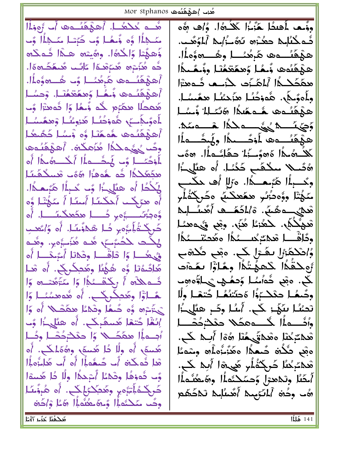.<br>هُذِبَ إِيهِيْهَيْهُمِي Mor stphanos  $\frac{1}{2}$ ا مَلاَدُهُ عَلَيْهِ مِنْ الْمَحْمَدُ وَالْمَسْتَمَا مِنْ الْمَحْمَدُ وَالْمَسْتَمَا مِنْ الْمَحْمَد ł أَمْ كَلاً الْمَكْرَةُ  $\overline{\mathbf{S}}$  $\frac{1}{2}$  $\frac{1}{2}$  ; /\$ وِذُها لَمُصَدَٰلُ هَٰٓئُوٰاً كَلَاْهُ!. وُ∕َكَ بَهُم  $\bar{\mathbf{z}}$ ـما  $\frac{1}{2}$ جبر، عصبان الجبر<br>جو ماڻ ڪراچي جو آبادي o<br>C  $\tilde{\cdot}$ ثُمكْنُاك حمْنْزَه نَهُ أَبكَ أَلْمَوَهُ .. e<br>N و .<br>وهُـُـــا وهُـــــهؤهاُ! د<br>ا o<br>C َ<br>ح ئے مک <u>و</u> ×<br>0  $\sum_{i=1}^{k}$  $\mathbf{r}$ ھۇھَ*دُـــ*ەھ ھُٻھُـُـــا وھُــــەۋەLَ!. '<br>ሶ .<br>مُسْلَمُ .<br>حصْل وَهمَقهُنَا وقُ .<br>و .<br>أ 一<br>夕<br>\*  $\stackrel{\circ}{\bullet}$  كە $\stackrel{\circ}{\bullet}$ <u>و</u> ×<br>0  $\sum_{i=1}^{k}$ つ<br>へ هِهْفُلُوهِ فُسْمًا وَمِعْمَعْهُلَا وِفُسَمَّا ا ے محبّز ا ?<br>।<br>। لعا دُ ر<br>خُف حدُّ 4" ! U(( D ں<br>ح محکّ  $\overline{\phantom{a}}$ ----<br>43 سىسىسى»، شەرئىلا ھۇھى*شا ھۇسىل*ا <u>بر</u> ر<br>دوکُل مدَّ  $\frac{1}{2}$ ≽<br>2 هُودُنُـا هزَجنُنْـا همُـسُـا. .بي. عددت من السياسة<br>مُسْمَعُ اللّهُ اللّهُ مُسْلاً وُسُسْلَ ر<br>ر ر<br>م  $\sum_{i=1}^{k}$ ั<br>กิ  $\hat{\mathbf{\hat{\delta}}}$ ه 1UB((((( ; ! U<(((((c ? C 1U((((( c@ . - يدُ الْمَ ء<br>1 0- ! 2(((( @+ 1905 - 1905<br>Loqui ×<br>0  $\sum_{i=1}^{k}$ y<br>≥ ۿڲٟٛ .<br>1 حفّائـماً! م<br>ا للسُّدُهُ جُلُّ أَهْ وَجَسَنَةٌ مَعَاشُواً. وَهُمَا مَعْهُمْ الْمَرْضَةُ うりょ <u>گئ</u>ا  $\frac{1}{2}$  $\frac{1}{\sqrt{2}}$  $\stackrel{<}{\bullet}$  ج ر<br>ہ هُكَسِلًا سَكْفَبٍ كَخُمًا. أَه هنَّل أَا  $\left\langle \right\rangle$ g o<br>C -<br>و ر<br>1 وكْسبِلُا هُبْمِيهُا र<br>१ مسلم السلم السلم السلم السلم السلم السلم السلم السلم السلم السلم السلم السلم السلم السلم السلم السلم<br>السلم السلم السلم السلم السلم السلم السلم السلم السلم السلم السلم السلم السلم السلم السلم السلم السلم السلم ال ļ مَ وَهَرْكَةُ لَمْ  $\bar{\gamma}$ ۔<br>•<br>• 6 ر<br>لم س<br>ملك<br>ح ر<br>مَكْتُنَا وِوُّەدْتُس ھەھكە <u>ہ</u> .<br>و  $\frac{1}{\lambda}$  $\left($ َ<br>لا سم<br>مع ى<br>شكى دشمَه. ةالمَكَّــف أَشَيــُ لِم  $\frac{1}{2}$  $\frac{1}{2}$ مُد P((( ) ة<br>كال<mark>ك</mark>  $\overline{\phantom{a}}$  $\overline{\tilde{K}}$ سى<br>تىمۇككى. خىقىنا مۇب  $\tilde{\mathbf{y}}$ حَدُّثَا مُنَّى. وَبَعَى فَيُحْمَدُ ا o<br>C  $\frac{2}{3}$ تحصيح : تحصيح البحريج المحاسب.<br>وكافسا هميّ حساءًا معجمًا المحاسبةُ .<br>.<br>. -<br>م o<br>N 6 .<br>.<br>. .<br>اگر مکثول لگ وَاحْدِهَزْوَلَ بِكَفْتُولِ كَبِ. وَبْعِي مَكْدَةَ بِ و, ــرى ــرى ــرى<br>رُوحفُمُا كموهُـتُمُا وهَاوْا بِمَوْت  $\frac{1}{2}$  $\frac{1}{2}$ .<br>ة  ()J 56 -#  $\ddot{\phantom{0}}$  $\check{\bm{\varsigma}}$ كَبِ. وَبِّي حُوامِمًا وَحِمُــهِ يَجَاوُوهِبِ b#(C s(  )> - (B .<br>و o<br>1 ⁄∘<br>।  $\hat{\tilde{\bullet}}$  , ົ້<br>ດ  $\mathring{\mathbf{e}}$ م  $\frac{2}{1}$ تمْه والْ 6 ە<br>تىن**م**َـا دُ و<br>ل 6 سما حككبُوًا هَصَد  $\frac{1}{2}$  $\mathring{\mathbin{\supset}}$ و ر<br>نمن*دا بن*ھُۃ کُے  $\frac{2}{\pi}$ بر<br>اما بِّهُِمْ ذَكَّى. أَسُّا وكَّ هِنَّلِيْ ا .<br>و ے<br>ملل وڈ .<br>ح  $\hat{\mathcal{C}}$ وُاَثْـــٰه اُلْـــُّـــه مَكَلاً حَدْثَةٍحُدَّـــل  $\frac{1}{2}$ .<br>أ ہ<br>1 o<br>1. ļ.  $\mathbf{r}$ وستاد المستخدمة<br>محمّد الله عليه عليه الله عليه الله عليه الله عليه الله عليه الله عليه الله عليه الله عليه الله عليه<br>مع الله عليه الله عليه الله عليه الله عليه الله عليه الله عليه الله عليه الله عليه الله عليه الله عليه ا  $\frac{1}{2}$ 6  $\frac{1}{2}$ ەقىداقىمقا 186 أبىدىكى. ی, اُصِد معنی.<br>مُوماتو وسُوما  $\frac{1}{2}$ تعجمهند مسیح<br>توافق مسلم الله معنو سبزمان بعد<br>مسابق المجمع المسلم من الأمريك والمستوفي المستوفي المستوفين المستوفين المستوفين المستوفين المستوفين المستوفين والمستوفين والمستوفين ์<br>1 ..<br>•<br>• 6  $\frac{1}{2}$ .<br>مُلْ وتكاهدَل وَحسَّلَـثَماُ المُ وهَ حصَّـماُ ال  $\frac{1}{2}$  $\zeta$ ر<br>ا ر<br>د  $\sum_{i=1}^{n}$ ر<br>ح  $\hat{\mathcal{C}}$ ۔<br>م*ال*ہ تککھو <u>و</u>  $\frac{1}{2}$ مُد  $\overline{\tilde{\mathbf{z}}}$ السنة وتحميل وتستنا<br>شات وحُشْ ٱلْمَنِّيْنِيْدَ ٱ  $\frac{1}{2}$ e<br>S ه مُلاَمُ ا ।<br>^ شَــم يُعْطَفُ ا. أَههْكَنُــمِها أَب رُودِمُاْ ا ł  $\hat{l}$  می $\Delta$  $\overline{\mathbf{v}}$  $\sum_{i=1}^{k}$  $\frac{1}{2}$  $\hat{\mathbf{\delta}}$ so  $\overline{\hat{\bm{r}}}$  $\int$  $\mathcal{L}$  + 9? - ! "U(( f B - ! "U(( f B ((  3  $\frac{\rho}{\rho}$  $\frac{1}{\sqrt{2}}$ ی<br>وُب کُ ما وًا  $\frac{1}{2}$ ۿڲ۫  $\frac{1}{2}$ ستيم، وه وكتار وت مركز كنيم، وه<br>وُهؤتا وَالْحُرْهَا. وهُيته هـدًا شُمحُهِ ا  $\frac{2}{3}$  $\left\langle \right\rangle$  $\frac{1}{6}$  on  $\frac{1}{2}$  $\sum_{n=1}^{\infty}$  $\frac{1}{2}$ .<br>န<mark>ှ</mark>ိ ا عائب هُ ے<br>مخ ر<br>جون گُ .<br>مر<br>1 ه هُذَ しりの ़<br>१०<br>व دْه هُذُبْهِ هُمُ هُدَا عَلَيْ هُمُكُدُّهِ }!. | بِعُنُـــا وُٓت هُــــــووُّهاُ!  $\frac{1}{2}$  $\frac{2}{3}$  $\frac{1}{2}$ ۰<br>۲۸  $\check{\tilde{\Omega}}$  مار ر  $\mathbf{v}$  $\sum_{i=1}^{k}$  $\hat{\bm{\lambda}}$  $\hat{\mathbf{\delta}}$ so ້<br>ໂ أَهْهُكُسُــدها هُرِهُنُـــا وُٓـا هُــــــاووُّداًا. إ ـمُّـا وَم<mark>َمَّعْم</mark>ُنَـا  $\frac{2}{3}$ 6  $\frac{1}{2}$  $\stackrel{\sim}{\bullet}$  فَلَ ر  $\mathbf{v}$  $\sum_{i=1}^{k}$ つ<br>へ  $\hat{\mathbf{\delta}}$ so ,<br>J أَهِكْفُسُوهَا وَمُعَظِّمُ الْمُسْمَدُ وَحَسَنًا وَحَسَنًا } l ،<br>۵ مثرا وٌب| ح<mark>مًا وَ</mark>ا ذُ しゅかき + ?< k 3  $\mathbf{z}$ هُدمُلا ممَّ ا<br>م ،<br>دۇدُىگ ك  $\frac{1}{2}$  $\boldsymbol{\dot{\hat{\mathsf{a}}}}$  ,  $\boldsymbol{\dot{\hat{\mathsf{c}}}}$  $\frac{1}{\kappa}$ ەۋىم  $\tilde{\mathbf{f}}$ لَمْ وَكِيَا بِمَا اللَّهُ وَكُنُدًا مُحْتِوكُمْ وَحَقَّصَتُنَا إِلَيْهِ وَحَقَّصَتُنَا إِ  $\overline{\phantom{a}}$ .<br>م*گ*ىغار سب<br>ئەھ ئەممالى ۋە ۋىئىل ك ر  $\begin{bmatrix} 1 \\ 2 \\ 3 \end{bmatrix}$  $\sum_{i=1}^{k}$ ر<br>م  $\hat{\delta}$ so -<br>J  $\int$ سوم تابع الم عرض .<br>حيث الم عرض الم عرض .  $\frac{1}{2}$ وِهُــالْمُهُمْمِــدُمْ الْمُدَهِينُ مِنْ الْمَدْمِيْنَ مِنْ مِنْ مِنْ مِنْ ر  $\tilde{\mathbf{z}}$  $\sum_{i=1}^{k}$ .<br>ג  $\hat{\mathbf{\hat{\delta}}}$ es -<br>J  $\int$  $\tilde{y}$ يدُّے ماُ! أ  $\frac{1}{2}$ .<br>كسا ۋە ئى  $\frac{1}{2}$  $\stackrel{\ast}{\Rightarrow}$  $\frac{7}{1}$ لَمْفَصَّـــا وًى يُبَشَّـــماْا ٱلْمُـــــوْمَاا أَه | .<br>حَــمهُ جَمَّا أَ منّا | .<br>م ى<br>م هُودُا هُوَب شبككُ  $\left\langle \right\rangle$ عَدْدُا خُ  $\mathbf{z}$  $\sum\limits_{i=1}^K$ لِيدًا وَّبِ كَبِيلًا e<br>1  $\frac{1}{2}$ ِّكْل<sup>ِ</sup> أُه هِبُّ n<br>I  $\sum_{i=1}^{n}$ لِكُكُا أَه هِنَلِيُّ أَوَّ كَـبِلًا هَبْـهـدًا -<br>K  $\tilde{\mathbf{z}}$ مَّبْعِدًا.| ۔<br>مع*لٰ* اُ ک جستان متعليمات<br>أه متوجّسا أحكمنا أ ى<br>أه مدَىك أَحكمَدَا أَسمَا أَ مَنْ قَالَ وَه  $\frac{1}{2}$ بیّ ا وٌودائكَ وَوداء اللَّهُ وَجَعَدَ اللَّهُ وَجَعَدَ اللَّهُ أَو l **?<br>(。)**  $\zeta$ حنّا عبوبہ جو جو ہے۔<br>جوہر کا تھلاؤ  $\overline{\Upsilon}$ كَرِيكُـٰةُ أَجْوَهِر كُـا هَكَوْمَعًا. أَه وَٱصُحِب  $\frac{1}{2}$ 6 "<br>? |<br>| جؤهبر  $\frac{1}{2}$ ے مُذَ o<br>C ع مسجود و مسجود العالمية و السيد.<br>أحد للحُدُمِـــَــِي هُــد هُذَمِــُودِر. وهُــد  $\frac{1}{2}$ ৈ<br>ব لِحُتْ لِحُبَّبَ هُـه هُنَّبَّوي. | ہ ? (((( R 3 حصب عصب المستوقف<br>في المستوقف التي يستوقف المستوقف المركز 6<br>6<br>6 N <[Tf - 9? - Z 8 ۔<br>م .<br>و  $\frac{2}{1}$ كَّلاَمُهُنَا وَّه هُوُمًا وَهُدِكْرِيٍّ. أَه هَـا ا  $\frac{1}{2}$  $\hat{Q}$  ہ —<br>?<br>**?**  $\zeta$  $\frac{2}{3}$  $\frac{1}{2}$  $\mathbf{\hat{s}}$ تعرف علام وي مستقلات المستقطة.<br>تُسمى الله على أن مستقلات المستقلات المستقلات المستقلات المستقلات ال ا<br>أ N((( <[Tf - 56 -#((( . ; ৈ<br>ব ه هُد ∕<br>? أَه هُدمَنْسُل وَا ا  $\int_{2}^{1}$  o -<br>شلا أ سمًا وثَّهْءُ مِعَهُ  $\frac{1}{2}$ .<br>د<sub>ا</sub>ره وُه حُ  $\sum_{i=1}^n$ تقا مُسْفَرِّكَ 6 ى بالم المستمر بعد المستمر المستمر .<br>إنشار مُتشار هُسكَرحٌ. أو هِنَالِ أو مِّ  $\frac{1}{2}$  $\frac{1}{2}$ ە ھەٌ ر<br>(و<br>( |<br>| كَــلاً وًا حَكَـٰتَـٰٓوَحْـَـٰا وَضُـا  $\frac{1}{2}$ 6  $\tilde{\mathbf{z}}$ جـــملأ محمّ ر<br>ا .<br>ا í N( <" 9 M- G I > E- 9? G I  $\sim$  ์<br>ด้ كَسْمًا إِنَّ وَلَا دًا تَعْسَيْ وَرَّةُ الْكَلْ. إِنَّ ا —<br>?<br>**?** Į  $\bullet$ ے م*ُح*امُّ;ُ المستمرة المركزة المركزة المركزة المركزة المركزة المركزة المركزة المركزة المركزة المركزة المركزة المركزة المرك<br>المركزة المركزة المركزة المركزة المركزة المركزة المركزة المركزة المركزة المركزة المركزة المركزة المركزة المركز )<br>I  $\frac{1}{2}$  $\stackrel{*}{\bullet}$  ن حصة ) ، وه حرّ عصف ) .<br>ها شَمكان أَب حُبِقَمَا إِلَى أَبِ هَا شَما اللهَ عَلَيْ الله וי<br>1 !  I > E- ! U 3 י<br>1 - جناح العام<br>موهُا وتَّهْنَا أُ بُ ثُ تؤهبر وتدبكتهاكب |<br>|<br>|  $\tilde{\mathbf{f}}$ كُوكِّـهُ أُتِبُومٍ وهُمَكْتُولِكِ. أَو هُبِؤُمَّـا |  $\frac{1}{2}$ 一夕之 ە كُبِوُّ e<br>C ∕<br>م•  $\zeta$ ب<br>شَـــ مَــَـــــَــهُ أُل وَّـــوَّ مِحْتَمَـهُ أَل وَّهُ شَلْ وَاحَـدَّة  $\overline{\mathbf{z}}$ ノタ  $\frac{1}{2}$ وحٌــا مَلْــُـدُهُمْا وُــوَّامَعُلُّـهُ إِلَا هَـٰمَا وَاحَـوَا ۖ

.<br>بُل كزَ<mark>ير زَ</mark>ازُيْل  $\frac{1}{2}$ ا<br>الم ا<br>م